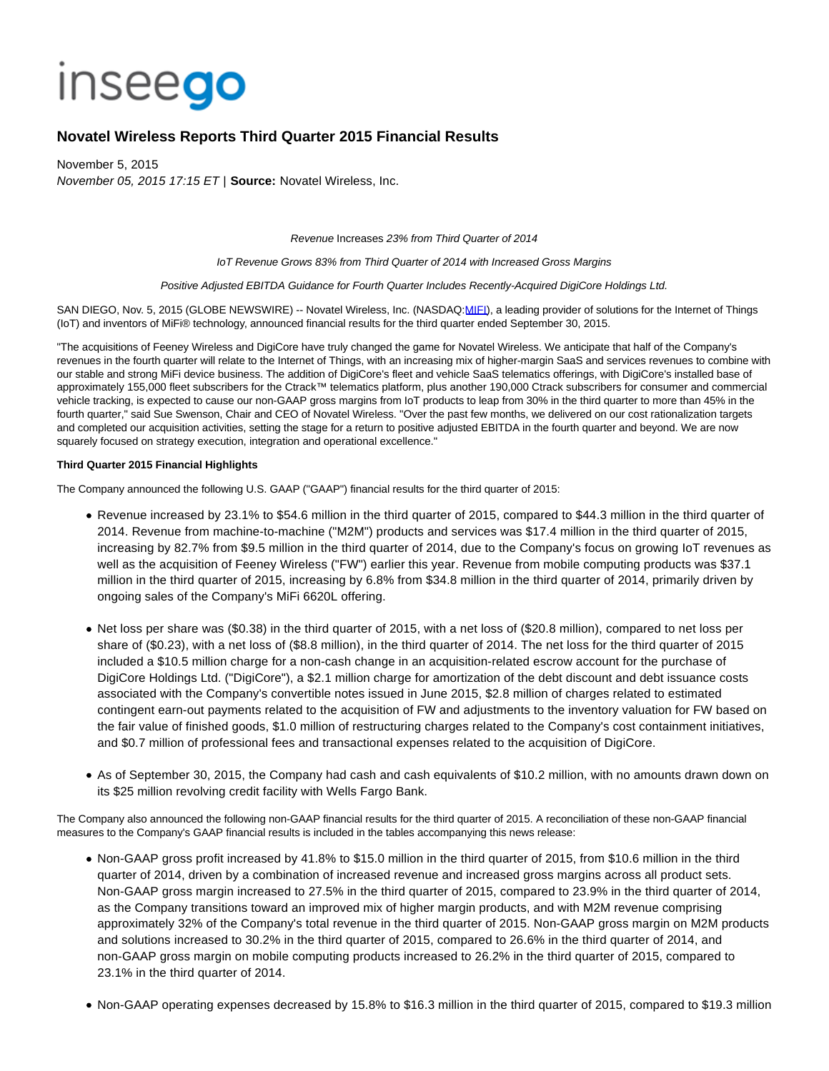# **Inseego**

## **Novatel Wireless Reports Third Quarter 2015 Financial Results**

November 5, 2015 November 05, 2015 17:15 ET | **Source:** Novatel Wireless, Inc.

Revenue Increases 23% from Third Quarter of 2014

IoT Revenue Grows 83% from Third Quarter of 2014 with Increased Gross Margins

## Positive Adjusted EBITDA Guidance for Fourth Quarter Includes Recently-Acquired DigiCore Holdings Ltd.

SAN DIEGO, Nov. 5, 2015 (GLOBE NEWSWIRE) -- Novatel Wireless, Inc. (NASDAQ[:MIFI\)](http://investor.inseego.com/News/Listing?symbol=MIFI&exchange=2), a leading provider of solutions for the Internet of Things (IoT) and inventors of MiFi® technology, announced financial results for the third quarter ended September 30, 2015.

"The acquisitions of Feeney Wireless and DigiCore have truly changed the game for Novatel Wireless. We anticipate that half of the Company's revenues in the fourth quarter will relate to the Internet of Things, with an increasing mix of higher-margin SaaS and services revenues to combine with our stable and strong MiFi device business. The addition of DigiCore's fleet and vehicle SaaS telematics offerings, with DigiCore's installed base of approximately 155,000 fleet subscribers for the Ctrack™ telematics platform, plus another 190,000 Ctrack subscribers for consumer and commercial vehicle tracking, is expected to cause our non-GAAP gross margins from IoT products to leap from 30% in the third quarter to more than 45% in the fourth quarter," said Sue Swenson, Chair and CEO of Novatel Wireless. "Over the past few months, we delivered on our cost rationalization targets and completed our acquisition activities, setting the stage for a return to positive adjusted EBITDA in the fourth quarter and beyond. We are now squarely focused on strategy execution, integration and operational excellence."

## **Third Quarter 2015 Financial Highlights**

The Company announced the following U.S. GAAP ("GAAP") financial results for the third quarter of 2015:

- Revenue increased by 23.1% to \$54.6 million in the third quarter of 2015, compared to \$44.3 million in the third quarter of 2014. Revenue from machine-to-machine ("M2M") products and services was \$17.4 million in the third quarter of 2015, increasing by 82.7% from \$9.5 million in the third quarter of 2014, due to the Company's focus on growing IoT revenues as well as the acquisition of Feeney Wireless ("FW") earlier this year. Revenue from mobile computing products was \$37.1 million in the third quarter of 2015, increasing by 6.8% from \$34.8 million in the third quarter of 2014, primarily driven by ongoing sales of the Company's MiFi 6620L offering.
- Net loss per share was (\$0.38) in the third quarter of 2015, with a net loss of (\$20.8 million), compared to net loss per share of (\$0.23), with a net loss of (\$8.8 million), in the third quarter of 2014. The net loss for the third quarter of 2015 included a \$10.5 million charge for a non-cash change in an acquisition-related escrow account for the purchase of DigiCore Holdings Ltd. ("DigiCore"), a \$2.1 million charge for amortization of the debt discount and debt issuance costs associated with the Company's convertible notes issued in June 2015, \$2.8 million of charges related to estimated contingent earn-out payments related to the acquisition of FW and adjustments to the inventory valuation for FW based on the fair value of finished goods, \$1.0 million of restructuring charges related to the Company's cost containment initiatives, and \$0.7 million of professional fees and transactional expenses related to the acquisition of DigiCore.
- As of September 30, 2015, the Company had cash and cash equivalents of \$10.2 million, with no amounts drawn down on its \$25 million revolving credit facility with Wells Fargo Bank.

The Company also announced the following non-GAAP financial results for the third quarter of 2015. A reconciliation of these non-GAAP financial measures to the Company's GAAP financial results is included in the tables accompanying this news release:

- Non-GAAP gross profit increased by 41.8% to \$15.0 million in the third quarter of 2015, from \$10.6 million in the third quarter of 2014, driven by a combination of increased revenue and increased gross margins across all product sets. Non-GAAP gross margin increased to 27.5% in the third quarter of 2015, compared to 23.9% in the third quarter of 2014, as the Company transitions toward an improved mix of higher margin products, and with M2M revenue comprising approximately 32% of the Company's total revenue in the third quarter of 2015. Non-GAAP gross margin on M2M products and solutions increased to 30.2% in the third quarter of 2015, compared to 26.6% in the third quarter of 2014, and non-GAAP gross margin on mobile computing products increased to 26.2% in the third quarter of 2015, compared to 23.1% in the third quarter of 2014.
- Non-GAAP operating expenses decreased by 15.8% to \$16.3 million in the third quarter of 2015, compared to \$19.3 million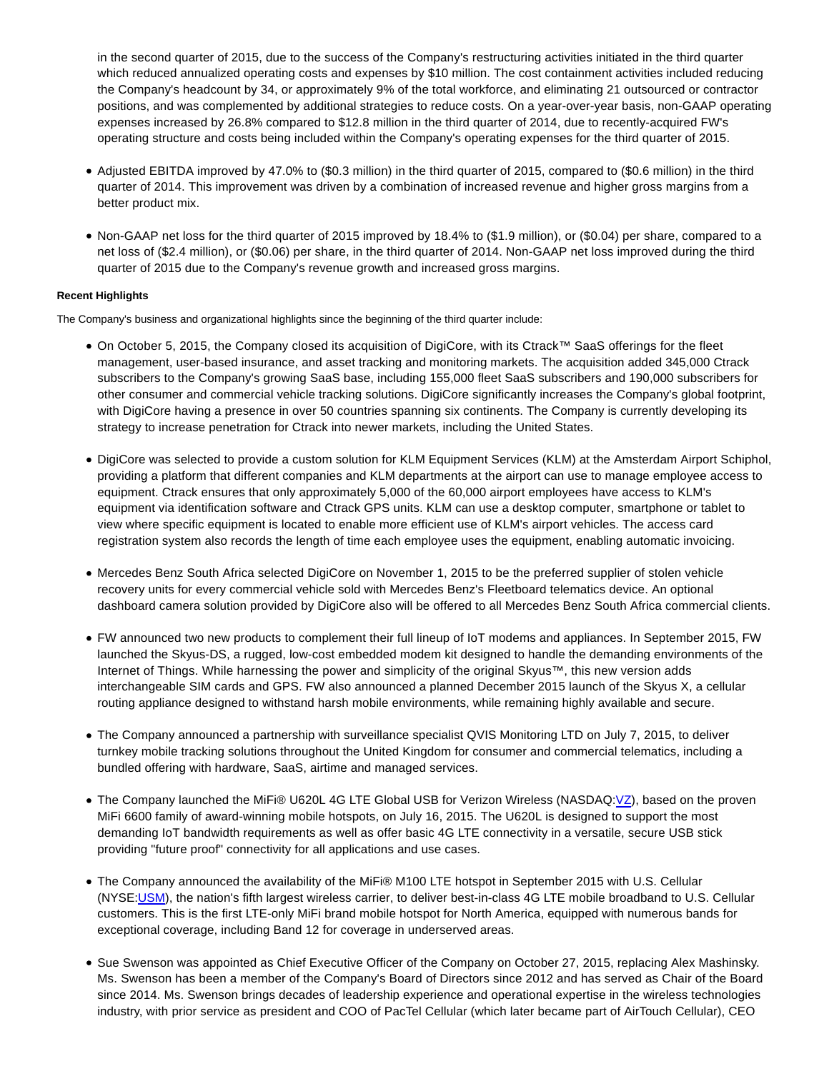in the second quarter of 2015, due to the success of the Company's restructuring activities initiated in the third quarter which reduced annualized operating costs and expenses by \$10 million. The cost containment activities included reducing the Company's headcount by 34, or approximately 9% of the total workforce, and eliminating 21 outsourced or contractor positions, and was complemented by additional strategies to reduce costs. On a year-over-year basis, non-GAAP operating expenses increased by 26.8% compared to \$12.8 million in the third quarter of 2014, due to recently-acquired FW's operating structure and costs being included within the Company's operating expenses for the third quarter of 2015.

- Adjusted EBITDA improved by 47.0% to (\$0.3 million) in the third quarter of 2015, compared to (\$0.6 million) in the third quarter of 2014. This improvement was driven by a combination of increased revenue and higher gross margins from a better product mix.
- Non-GAAP net loss for the third quarter of 2015 improved by 18.4% to (\$1.9 million), or (\$0.04) per share, compared to a net loss of (\$2.4 million), or (\$0.06) per share, in the third quarter of 2014. Non-GAAP net loss improved during the third quarter of 2015 due to the Company's revenue growth and increased gross margins.

## **Recent Highlights**

The Company's business and organizational highlights since the beginning of the third quarter include:

- On October 5, 2015, the Company closed its acquisition of DigiCore, with its Ctrack™ SaaS offerings for the fleet management, user-based insurance, and asset tracking and monitoring markets. The acquisition added 345,000 Ctrack subscribers to the Company's growing SaaS base, including 155,000 fleet SaaS subscribers and 190,000 subscribers for other consumer and commercial vehicle tracking solutions. DigiCore significantly increases the Company's global footprint, with DigiCore having a presence in over 50 countries spanning six continents. The Company is currently developing its strategy to increase penetration for Ctrack into newer markets, including the United States.
- DigiCore was selected to provide a custom solution for KLM Equipment Services (KLM) at the Amsterdam Airport Schiphol, providing a platform that different companies and KLM departments at the airport can use to manage employee access to equipment. Ctrack ensures that only approximately 5,000 of the 60,000 airport employees have access to KLM's equipment via identification software and Ctrack GPS units. KLM can use a desktop computer, smartphone or tablet to view where specific equipment is located to enable more efficient use of KLM's airport vehicles. The access card registration system also records the length of time each employee uses the equipment, enabling automatic invoicing.
- Mercedes Benz South Africa selected DigiCore on November 1, 2015 to be the preferred supplier of stolen vehicle recovery units for every commercial vehicle sold with Mercedes Benz's Fleetboard telematics device. An optional dashboard camera solution provided by DigiCore also will be offered to all Mercedes Benz South Africa commercial clients.
- FW announced two new products to complement their full lineup of IoT modems and appliances. In September 2015, FW launched the Skyus-DS, a rugged, low-cost embedded modem kit designed to handle the demanding environments of the Internet of Things. While harnessing the power and simplicity of the original Skyus™, this new version adds interchangeable SIM cards and GPS. FW also announced a planned December 2015 launch of the Skyus X, a cellular routing appliance designed to withstand harsh mobile environments, while remaining highly available and secure.
- The Company announced a partnership with surveillance specialist QVIS Monitoring LTD on July 7, 2015, to deliver turnkey mobile tracking solutions throughout the United Kingdom for consumer and commercial telematics, including a bundled offering with hardware, SaaS, airtime and managed services.
- The Company launched the MiFi® U620L 4G LTE Global USB for Verizon Wireless (NASDAQ[:VZ\)](http://investor.inseego.com/News/Listing?symbol=VZ&exchange=2), based on the proven MiFi 6600 family of award-winning mobile hotspots, on July 16, 2015. The U620L is designed to support the most demanding IoT bandwidth requirements as well as offer basic 4G LTE connectivity in a versatile, secure USB stick providing "future proof" connectivity for all applications and use cases.
- The Company announced the availability of the MiFi® M100 LTE hotspot in September 2015 with U.S. Cellular (NYSE[:USM\)](http://investor.inseego.com/News/Listing?symbol=USM&exchange=4), the nation's fifth largest wireless carrier, to deliver best-in-class 4G LTE mobile broadband to U.S. Cellular customers. This is the first LTE-only MiFi brand mobile hotspot for North America, equipped with numerous bands for exceptional coverage, including Band 12 for coverage in underserved areas.
- Sue Swenson was appointed as Chief Executive Officer of the Company on October 27, 2015, replacing Alex Mashinsky. Ms. Swenson has been a member of the Company's Board of Directors since 2012 and has served as Chair of the Board since 2014. Ms. Swenson brings decades of leadership experience and operational expertise in the wireless technologies industry, with prior service as president and COO of PacTel Cellular (which later became part of AirTouch Cellular), CEO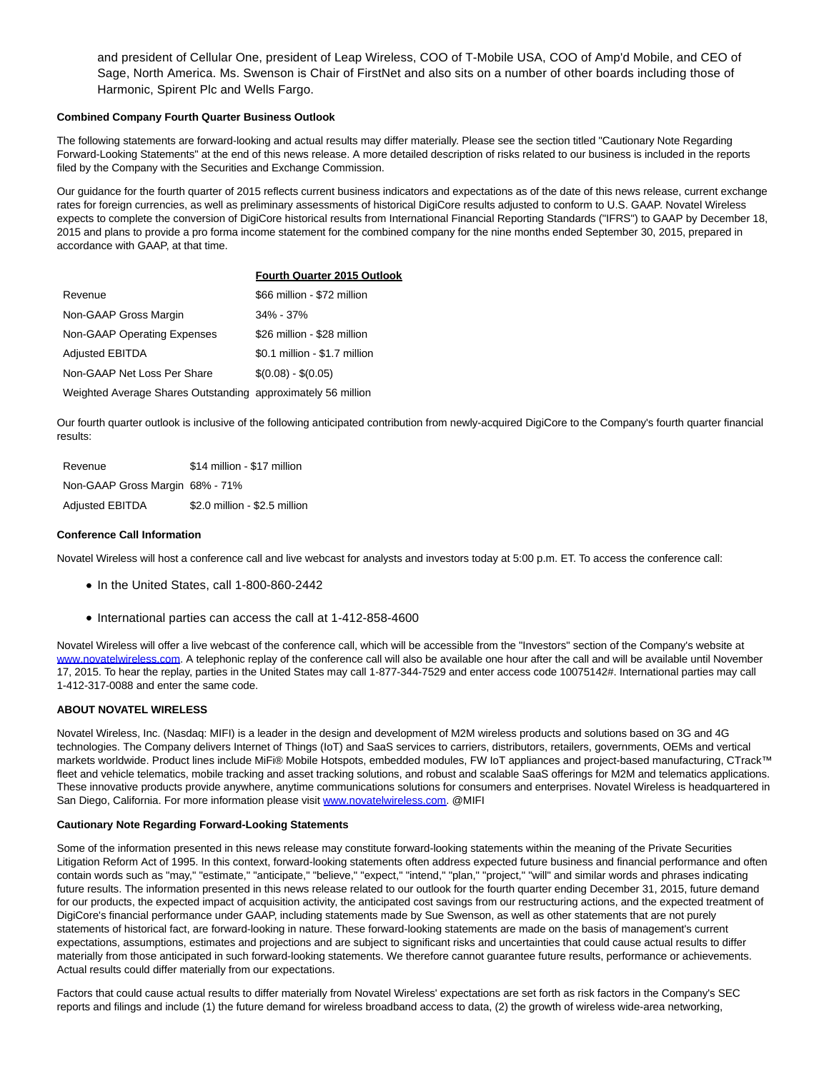and president of Cellular One, president of Leap Wireless, COO of T-Mobile USA, COO of Amp'd Mobile, and CEO of Sage, North America. Ms. Swenson is Chair of FirstNet and also sits on a number of other boards including those of Harmonic, Spirent Plc and Wells Fargo.

## **Combined Company Fourth Quarter Business Outlook**

The following statements are forward-looking and actual results may differ materially. Please see the section titled "Cautionary Note Regarding Forward-Looking Statements" at the end of this news release. A more detailed description of risks related to our business is included in the reports filed by the Company with the Securities and Exchange Commission.

Our guidance for the fourth quarter of 2015 reflects current business indicators and expectations as of the date of this news release, current exchange rates for foreign currencies, as well as preliminary assessments of historical DigiCore results adjusted to conform to U.S. GAAP. Novatel Wireless expects to complete the conversion of DigiCore historical results from International Financial Reporting Standards ("IFRS") to GAAP by December 18, 2015 and plans to provide a pro forma income statement for the combined company for the nine months ended September 30, 2015, prepared in accordance with GAAP, at that time.

|                                                              | <b>Fourth Quarter 2015 Outlook</b> |
|--------------------------------------------------------------|------------------------------------|
| Revenue                                                      | \$66 million - \$72 million        |
| Non-GAAP Gross Margin                                        | $34\% - 37\%$                      |
| Non-GAAP Operating Expenses                                  | \$26 million - \$28 million        |
| <b>Adjusted EBITDA</b>                                       | \$0.1 million - \$1.7 million      |
| Non-GAAP Net Loss Per Share                                  | $$(0.08) - $(0.05)$                |
| Weighted Average Shares Outstanding approximately 56 million |                                    |

Our fourth quarter outlook is inclusive of the following anticipated contribution from newly-acquired DigiCore to the Company's fourth quarter financial results:

| Revenue                         | \$14 million - \$17 million   |
|---------------------------------|-------------------------------|
| Non-GAAP Gross Margin 68% - 71% |                               |
| <b>Adjusted EBITDA</b>          | \$2.0 million - \$2.5 million |

#### **Conference Call Information**

Novatel Wireless will host a conference call and live webcast for analysts and investors today at 5:00 p.m. ET. To access the conference call:

- In the United States, call 1-800-860-2442
- International parties can access the call at 1-412-858-4600

Novatel Wireless will offer a live webcast of the conference call, which will be accessible from the "Investors" section of the Company's website at [www.novatelwireless.com.](http://globenewswire.com/Tracker?data=UKt2DrwPr_4MWVkwu351eMX9PAh3mqFK91Vne0Z9SjJJrY2uDC-uU4zgLglscRDfgGPiGLwiYHUolv1rUnBXi7tzaldNB_2Ogmo-vv2-nHs%3D) A telephonic replay of the conference call will also be available one hour after the call and will be available until November 17, 2015. To hear the replay, parties in the United States may call 1-877-344-7529 and enter access code 10075142#. International parties may call 1-412-317-0088 and enter the same code.

## **ABOUT NOVATEL WIRELESS**

Novatel Wireless, Inc. (Nasdaq: MIFI) is a leader in the design and development of M2M wireless products and solutions based on 3G and 4G technologies. The Company delivers Internet of Things (IoT) and SaaS services to carriers, distributors, retailers, governments, OEMs and vertical markets worldwide. Product lines include MiFi® Mobile Hotspots, embedded modules, FW IoT appliances and project-based manufacturing, CTrack™ fleet and vehicle telematics, mobile tracking and asset tracking solutions, and robust and scalable SaaS offerings for M2M and telematics applications. These innovative products provide anywhere, anytime communications solutions for consumers and enterprises. Novatel Wireless is headquartered in San Diego, California. For more information please visit [www.novatelwireless.com.](http://globenewswire.com/Tracker?data=UKt2DrwPr_4MWVkwu351eMX9PAh3mqFK91Vne0Z9SjJ_YDZ1bVLhSZHGueUKokPhuOGMCz9FLIzoIOtQ3xQCyPUswNWGxZglUOiU6KaI5k0%3D) @MIFI

#### **Cautionary Note Regarding Forward-Looking Statements**

Some of the information presented in this news release may constitute forward-looking statements within the meaning of the Private Securities Litigation Reform Act of 1995. In this context, forward-looking statements often address expected future business and financial performance and often contain words such as "may," "estimate," "anticipate," "believe," "expect," "intend," "plan," "project," "will" and similar words and phrases indicating future results. The information presented in this news release related to our outlook for the fourth quarter ending December 31, 2015, future demand for our products, the expected impact of acquisition activity, the anticipated cost savings from our restructuring actions, and the expected treatment of DigiCore's financial performance under GAAP, including statements made by Sue Swenson, as well as other statements that are not purely statements of historical fact, are forward-looking in nature. These forward-looking statements are made on the basis of management's current expectations, assumptions, estimates and projections and are subject to significant risks and uncertainties that could cause actual results to differ materially from those anticipated in such forward-looking statements. We therefore cannot guarantee future results, performance or achievements. Actual results could differ materially from our expectations.

Factors that could cause actual results to differ materially from Novatel Wireless' expectations are set forth as risk factors in the Company's SEC reports and filings and include (1) the future demand for wireless broadband access to data, (2) the growth of wireless wide-area networking,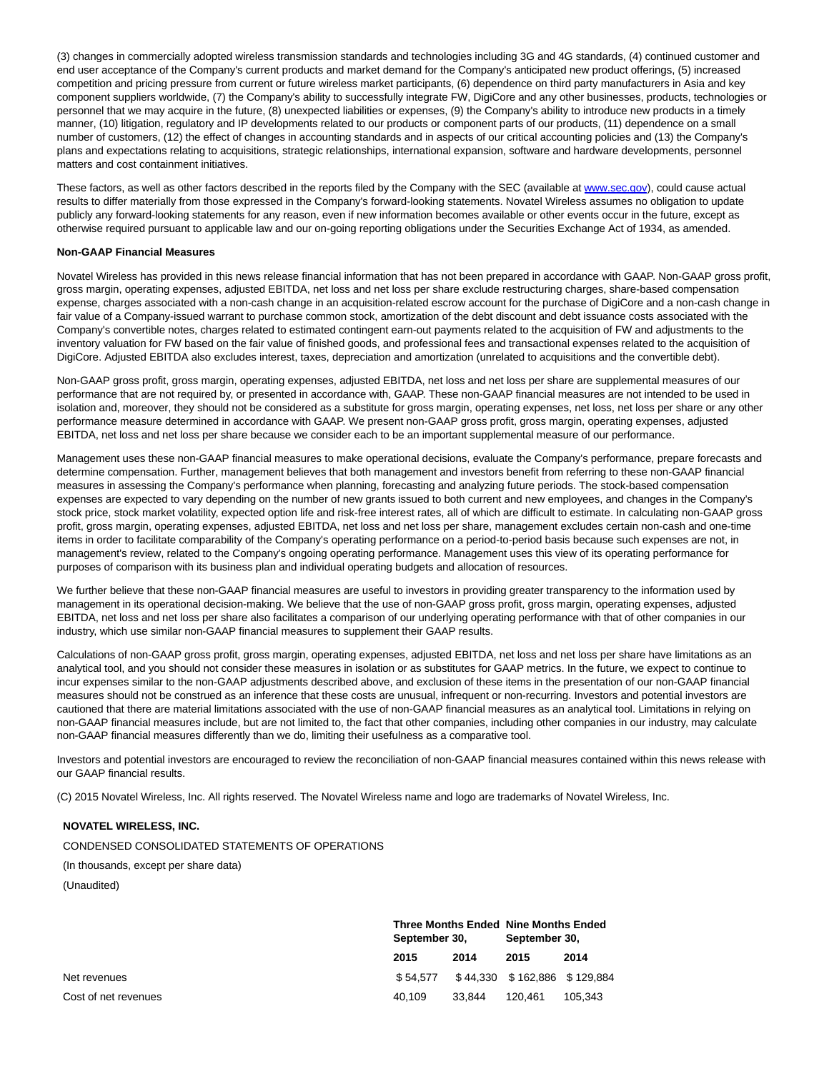(3) changes in commercially adopted wireless transmission standards and technologies including 3G and 4G standards, (4) continued customer and end user acceptance of the Company's current products and market demand for the Company's anticipated new product offerings, (5) increased competition and pricing pressure from current or future wireless market participants, (6) dependence on third party manufacturers in Asia and key component suppliers worldwide, (7) the Company's ability to successfully integrate FW, DigiCore and any other businesses, products, technologies or personnel that we may acquire in the future, (8) unexpected liabilities or expenses, (9) the Company's ability to introduce new products in a timely manner, (10) litigation, regulatory and IP developments related to our products or component parts of our products, (11) dependence on a small number of customers, (12) the effect of changes in accounting standards and in aspects of our critical accounting policies and (13) the Company's plans and expectations relating to acquisitions, strategic relationships, international expansion, software and hardware developments, personnel matters and cost containment initiatives.

These factors, as well as other factors described in the reports filed by the Company with the SEC (available at [www.sec.gov\),](http://globenewswire.com/Tracker?data=OkeiL8bjtkJTENf5DOPrJwKJAe5Evb1WZpcQwNfohl6Zs-xfG_TgsfyUqo0pLn5V) could cause actual results to differ materially from those expressed in the Company's forward-looking statements. Novatel Wireless assumes no obligation to update publicly any forward-looking statements for any reason, even if new information becomes available or other events occur in the future, except as otherwise required pursuant to applicable law and our on-going reporting obligations under the Securities Exchange Act of 1934, as amended.

#### **Non-GAAP Financial Measures**

Novatel Wireless has provided in this news release financial information that has not been prepared in accordance with GAAP. Non-GAAP gross profit, gross margin, operating expenses, adjusted EBITDA, net loss and net loss per share exclude restructuring charges, share-based compensation expense, charges associated with a non-cash change in an acquisition-related escrow account for the purchase of DigiCore and a non-cash change in fair value of a Company-issued warrant to purchase common stock, amortization of the debt discount and debt issuance costs associated with the Company's convertible notes, charges related to estimated contingent earn-out payments related to the acquisition of FW and adjustments to the inventory valuation for FW based on the fair value of finished goods, and professional fees and transactional expenses related to the acquisition of DigiCore. Adjusted EBITDA also excludes interest, taxes, depreciation and amortization (unrelated to acquisitions and the convertible debt).

Non-GAAP gross profit, gross margin, operating expenses, adjusted EBITDA, net loss and net loss per share are supplemental measures of our performance that are not required by, or presented in accordance with, GAAP. These non-GAAP financial measures are not intended to be used in isolation and, moreover, they should not be considered as a substitute for gross margin, operating expenses, net loss, net loss per share or any other performance measure determined in accordance with GAAP. We present non-GAAP gross profit, gross margin, operating expenses, adjusted EBITDA, net loss and net loss per share because we consider each to be an important supplemental measure of our performance.

Management uses these non-GAAP financial measures to make operational decisions, evaluate the Company's performance, prepare forecasts and determine compensation. Further, management believes that both management and investors benefit from referring to these non-GAAP financial measures in assessing the Company's performance when planning, forecasting and analyzing future periods. The stock-based compensation expenses are expected to vary depending on the number of new grants issued to both current and new employees, and changes in the Company's stock price, stock market volatility, expected option life and risk-free interest rates, all of which are difficult to estimate. In calculating non-GAAP gross profit, gross margin, operating expenses, adjusted EBITDA, net loss and net loss per share, management excludes certain non-cash and one-time items in order to facilitate comparability of the Company's operating performance on a period-to-period basis because such expenses are not, in management's review, related to the Company's ongoing operating performance. Management uses this view of its operating performance for purposes of comparison with its business plan and individual operating budgets and allocation of resources.

We further believe that these non-GAAP financial measures are useful to investors in providing greater transparency to the information used by management in its operational decision-making. We believe that the use of non-GAAP gross profit, gross margin, operating expenses, adjusted EBITDA, net loss and net loss per share also facilitates a comparison of our underlying operating performance with that of other companies in our industry, which use similar non-GAAP financial measures to supplement their GAAP results.

Calculations of non-GAAP gross profit, gross margin, operating expenses, adjusted EBITDA, net loss and net loss per share have limitations as an analytical tool, and you should not consider these measures in isolation or as substitutes for GAAP metrics. In the future, we expect to continue to incur expenses similar to the non-GAAP adjustments described above, and exclusion of these items in the presentation of our non-GAAP financial measures should not be construed as an inference that these costs are unusual, infrequent or non-recurring. Investors and potential investors are cautioned that there are material limitations associated with the use of non-GAAP financial measures as an analytical tool. Limitations in relying on non-GAAP financial measures include, but are not limited to, the fact that other companies, including other companies in our industry, may calculate non-GAAP financial measures differently than we do, limiting their usefulness as a comparative tool.

Investors and potential investors are encouraged to review the reconciliation of non-GAAP financial measures contained within this news release with our GAAP financial results.

(C) 2015 Novatel Wireless, Inc. All rights reserved. The Novatel Wireless name and logo are trademarks of Novatel Wireless, Inc.

## **NOVATEL WIRELESS, INC.**

CONDENSED CONSOLIDATED STATEMENTS OF OPERATIONS

(In thousands, except per share data)

|                      | <b>Three Months Ended Nine Months Ended</b><br>September 30, |        | September 30,                |         |
|----------------------|--------------------------------------------------------------|--------|------------------------------|---------|
|                      | 2015                                                         | 2014   | 2015                         | 2014    |
| Net revenues         | \$54.577                                                     |        | \$44.330 \$162.886 \$129.884 |         |
| Cost of net revenues | 40.109                                                       | 33.844 | 120.461                      | 105.343 |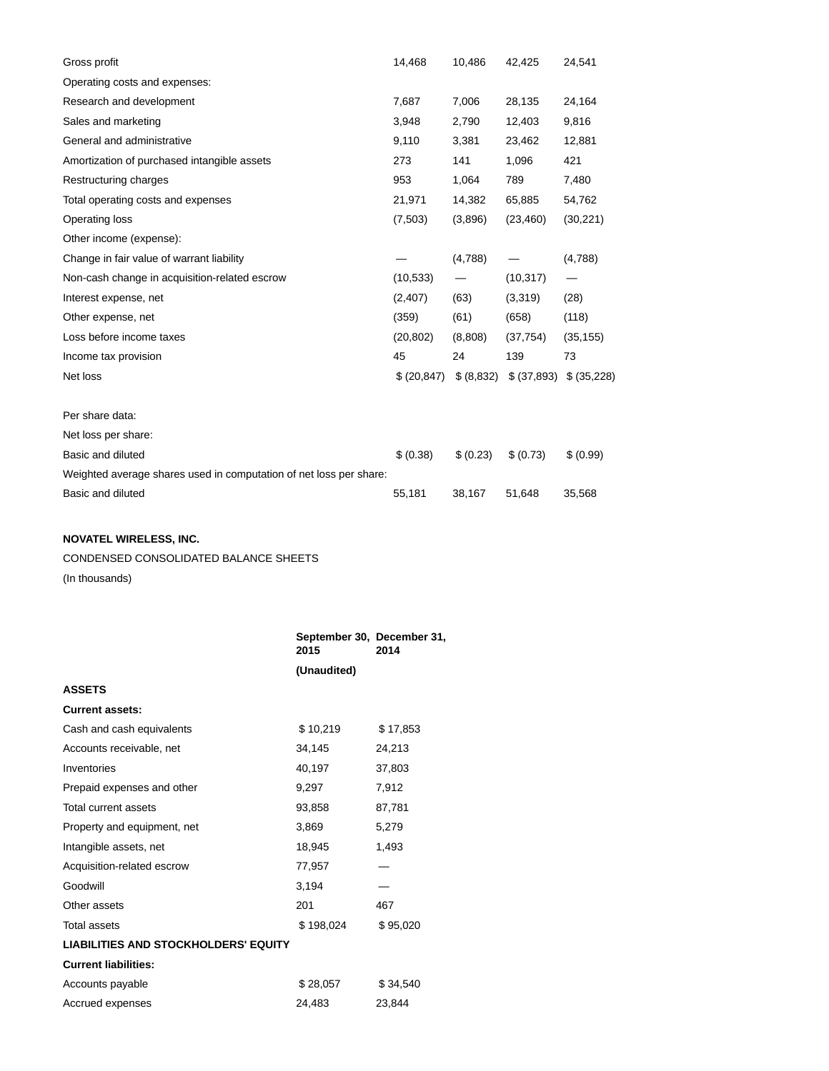| Gross profit                                                       | 14,468       | 10,486     | 42,425      | 24,541      |
|--------------------------------------------------------------------|--------------|------------|-------------|-------------|
| Operating costs and expenses:                                      |              |            |             |             |
| Research and development                                           | 7,687        | 7,006      | 28,135      | 24,164      |
| Sales and marketing                                                | 3,948        | 2,790      | 12,403      | 9,816       |
| General and administrative                                         | 9,110        | 3,381      | 23,462      | 12,881      |
| Amortization of purchased intangible assets                        | 273          | 141        | 1,096       | 421         |
| Restructuring charges                                              | 953          | 1,064      | 789         | 7,480       |
| Total operating costs and expenses                                 | 21,971       | 14,382     | 65,885      | 54,762      |
| Operating loss                                                     | (7,503)      | (3,896)    | (23, 460)   | (30, 221)   |
| Other income (expense):                                            |              |            |             |             |
| Change in fair value of warrant liability                          |              | (4,788)    |             | (4,788)     |
| Non-cash change in acquisition-related escrow                      | (10, 533)    |            | (10, 317)   |             |
| Interest expense, net                                              | (2, 407)     | (63)       | (3,319)     | (28)        |
| Other expense, net                                                 | (359)        | (61)       | (658)       | (118)       |
| Loss before income taxes                                           | (20, 802)    | (8,808)    | (37, 754)   | (35, 155)   |
| Income tax provision                                               | 45           | 24         | 139         | 73          |
| Net loss                                                           | \$ (20, 847) | \$ (8,832) | \$ (37,893) | \$ (35,228) |
|                                                                    |              |            |             |             |
| Per share data:                                                    |              |            |             |             |
| Net loss per share:                                                |              |            |             |             |
| Basic and diluted                                                  | \$ (0.38)    | \$ (0.23)  | \$ (0.73)   | \$ (0.99)   |
| Weighted average shares used in computation of net loss per share: |              |            |             |             |
| Basic and diluted                                                  | 55,181       | 38,167     | 51,648      | 35,568      |

## **NOVATEL WIRELESS, INC.**

CONDENSED CONSOLIDATED BALANCE SHEETS

(In thousands)

|                                             | September 30, December 31,<br>2015 | 2014     |
|---------------------------------------------|------------------------------------|----------|
|                                             | (Unaudited)                        |          |
| <b>ASSETS</b>                               |                                    |          |
| <b>Current assets:</b>                      |                                    |          |
| Cash and cash equivalents                   | \$10,219                           | \$17,853 |
| Accounts receivable, net                    | 34,145                             | 24,213   |
| Inventories                                 | 40,197                             | 37,803   |
| Prepaid expenses and other                  | 9,297                              | 7,912    |
| Total current assets                        | 93,858                             | 87,781   |
| Property and equipment, net                 | 3,869                              | 5,279    |
| Intangible assets, net                      | 18,945                             | 1,493    |
| Acquisition-related escrow                  | 77,957                             |          |
| Goodwill                                    | 3,194                              |          |
| Other assets                                | 201                                | 467      |
| <b>Total assets</b>                         | \$198,024                          | \$95,020 |
| <b>LIABILITIES AND STOCKHOLDERS' EQUITY</b> |                                    |          |
| <b>Current liabilities:</b>                 |                                    |          |
| Accounts payable                            | \$28,057                           | \$34,540 |
| Accrued expenses                            | 24.483                             | 23.844   |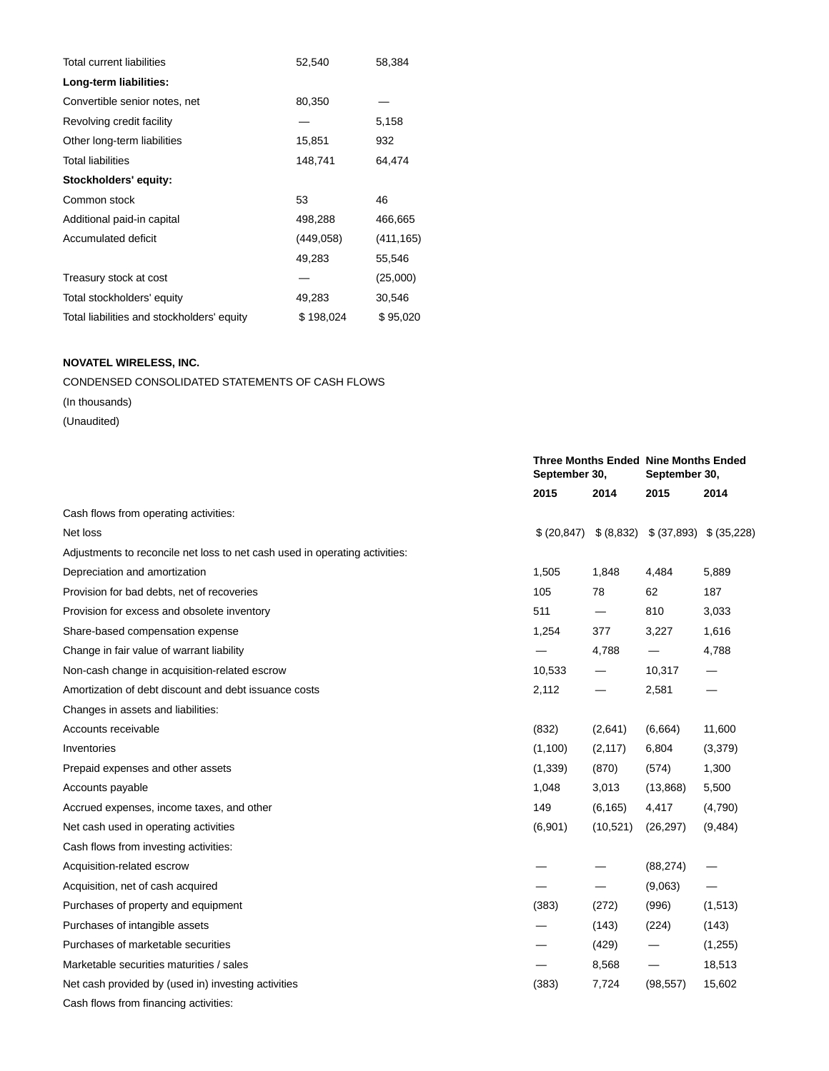| <b>Total current liabilities</b>           | 52,540    | 58,384     |
|--------------------------------------------|-----------|------------|
| Long-term liabilities:                     |           |            |
| Convertible senior notes, net              | 80,350    |            |
| Revolving credit facility                  |           | 5,158      |
| Other long-term liabilities                | 15,851    | 932        |
| <b>Total liabilities</b>                   | 148,741   | 64,474     |
| Stockholders' equity:                      |           |            |
| Common stock                               | 53        | 46         |
| Additional paid-in capital                 | 498,288   | 466,665    |
| Accumulated deficit                        | (449,058) | (411, 165) |
|                                            | 49,283    | 55,546     |
| Treasury stock at cost                     |           | (25,000)   |
| Total stockholders' equity                 | 49,283    | 30,546     |
| Total liabilities and stockholders' equity | \$198,024 | \$95,020   |

## **NOVATEL WIRELESS, INC.**

## CONDENSED CONSOLIDATED STATEMENTS OF CASH FLOWS

(In thousands)

|                                                                             |              | <b>Three Months Ended Nine Months Ended</b><br>September 30, |             | September 30, |
|-----------------------------------------------------------------------------|--------------|--------------------------------------------------------------|-------------|---------------|
|                                                                             | 2015         | 2014                                                         | 2015        | 2014          |
| Cash flows from operating activities:                                       |              |                                                              |             |               |
| Net loss                                                                    | \$ (20, 847) | \$ (8,832)                                                   | \$ (37,893) | \$ (35,228)   |
| Adjustments to reconcile net loss to net cash used in operating activities: |              |                                                              |             |               |
| Depreciation and amortization                                               | 1,505        | 1,848                                                        | 4,484       | 5,889         |
| Provision for bad debts, net of recoveries                                  | 105          | 78                                                           | 62          | 187           |
| Provision for excess and obsolete inventory                                 | 511          |                                                              | 810         | 3,033         |
| Share-based compensation expense                                            | 1,254        | 377                                                          | 3,227       | 1,616         |
| Change in fair value of warrant liability                                   |              | 4,788                                                        |             | 4,788         |
| Non-cash change in acquisition-related escrow                               | 10,533       |                                                              | 10,317      |               |
| Amortization of debt discount and debt issuance costs                       | 2,112        |                                                              | 2,581       | —             |
| Changes in assets and liabilities:                                          |              |                                                              |             |               |
| Accounts receivable                                                         | (832)        | (2,641)                                                      | (6,664)     | 11,600        |
| Inventories                                                                 | (1,100)      | (2, 117)                                                     | 6,804       | (3,379)       |
| Prepaid expenses and other assets                                           | (1, 339)     | (870)                                                        | (574)       | 1,300         |
| Accounts payable                                                            | 1,048        | 3,013                                                        | (13,868)    | 5,500         |
| Accrued expenses, income taxes, and other                                   | 149          | (6, 165)                                                     | 4,417       | (4,790)       |
| Net cash used in operating activities                                       | (6,901)      | (10,521)                                                     | (26, 297)   | (9, 484)      |
| Cash flows from investing activities:                                       |              |                                                              |             |               |
| Acquisition-related escrow                                                  |              |                                                              | (88, 274)   |               |
| Acquisition, net of cash acquired                                           |              | $\qquad \qquad \longleftarrow$                               | (9,063)     |               |
| Purchases of property and equipment                                         | (383)        | (272)                                                        | (996)       | (1,513)       |
| Purchases of intangible assets                                              |              | (143)                                                        | (224)       | (143)         |
| Purchases of marketable securities                                          |              | (429)                                                        |             | (1,255)       |
| Marketable securities maturities / sales                                    |              | 8,568                                                        |             | 18,513        |
| Net cash provided by (used in) investing activities                         | (383)        | 7,724                                                        | (98, 557)   | 15,602        |
| Cash flows from financing activities:                                       |              |                                                              |             |               |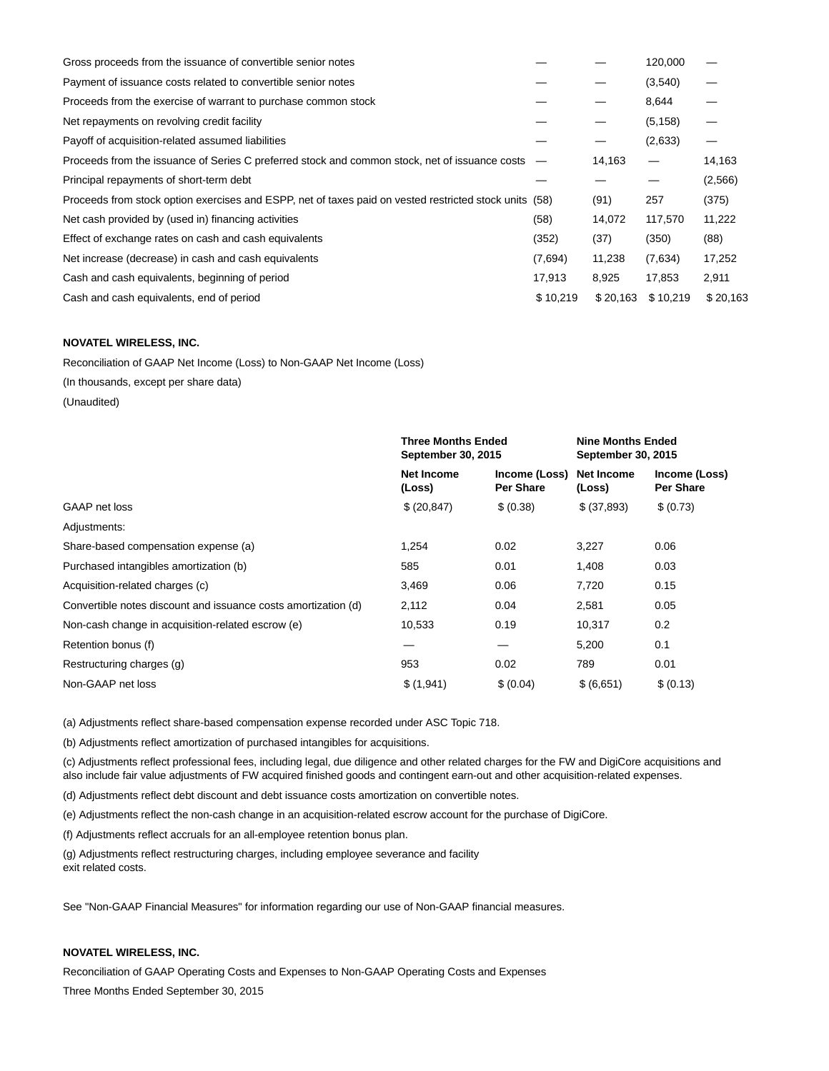| Gross proceeds from the issuance of convertible senior notes                                           |          |          | 120,000  |          |
|--------------------------------------------------------------------------------------------------------|----------|----------|----------|----------|
| Payment of issuance costs related to convertible senior notes                                          |          |          | (3,540)  |          |
| Proceeds from the exercise of warrant to purchase common stock                                         |          |          | 8,644    |          |
| Net repayments on revolving credit facility                                                            |          |          | (5, 158) |          |
| Payoff of acquisition-related assumed liabilities                                                      |          |          | (2,633)  |          |
| Proceeds from the issuance of Series C preferred stock and common stock, net of issuance costs –       |          | 14,163   |          | 14,163   |
| Principal repayments of short-term debt                                                                |          |          |          | (2,566)  |
| Proceeds from stock option exercises and ESPP, net of taxes paid on vested restricted stock units (58) |          | (91)     | 257      | (375)    |
| Net cash provided by (used in) financing activities                                                    | (58)     | 14,072   | 117,570  | 11,222   |
| Effect of exchange rates on cash and cash equivalents                                                  | (352)    | (37)     | (350)    | (88)     |
| Net increase (decrease) in cash and cash equivalents                                                   | (7,694)  | 11,238   | (7,634)  | 17,252   |
| Cash and cash equivalents, beginning of period                                                         | 17,913   | 8,925    | 17,853   | 2,911    |
| Cash and cash equivalents, end of period                                                               | \$10,219 | \$20,163 | \$10.219 | \$20,163 |

## **NOVATEL WIRELESS, INC.**

Reconciliation of GAAP Net Income (Loss) to Non-GAAP Net Income (Loss)

(In thousands, except per share data)

(Unaudited)

|                                                                | <b>Three Months Ended</b><br>September 30, 2015 |                                   | <b>Nine Months Ended</b><br>September 30, 2015 |                                   |
|----------------------------------------------------------------|-------------------------------------------------|-----------------------------------|------------------------------------------------|-----------------------------------|
|                                                                | <b>Net Income</b><br>(Loss)                     | Income (Loss)<br><b>Per Share</b> | <b>Net Income</b><br>(Loss)                    | Income (Loss)<br><b>Per Share</b> |
| GAAP net loss                                                  | \$ (20, 847)                                    | \$ (0.38)                         | \$ (37,893)                                    | \$ (0.73)                         |
| Adjustments:                                                   |                                                 |                                   |                                                |                                   |
| Share-based compensation expense (a)                           | 1,254                                           | 0.02                              | 3,227                                          | 0.06                              |
| Purchased intangibles amortization (b)                         | 585                                             | 0.01                              | 1,408                                          | 0.03                              |
| Acquisition-related charges (c)                                | 3,469                                           | 0.06                              | 7,720                                          | 0.15                              |
| Convertible notes discount and issuance costs amortization (d) | 2,112                                           | 0.04                              | 2,581                                          | 0.05                              |
| Non-cash change in acquisition-related escrow (e)              | 10,533                                          | 0.19                              | 10,317                                         | 0.2                               |
| Retention bonus (f)                                            |                                                 |                                   | 5,200                                          | 0.1                               |
| Restructuring charges (g)                                      | 953                                             | 0.02                              | 789                                            | 0.01                              |
| Non-GAAP net loss                                              | \$(1,941)                                       | \$ (0.04)                         | \$ (6,651)                                     | \$ (0.13)                         |

(a) Adjustments reflect share-based compensation expense recorded under ASC Topic 718.

(b) Adjustments reflect amortization of purchased intangibles for acquisitions.

(c) Adjustments reflect professional fees, including legal, due diligence and other related charges for the FW and DigiCore acquisitions and also include fair value adjustments of FW acquired finished goods and contingent earn-out and other acquisition-related expenses.

(d) Adjustments reflect debt discount and debt issuance costs amortization on convertible notes.

(e) Adjustments reflect the non-cash change in an acquisition-related escrow account for the purchase of DigiCore.

(f) Adjustments reflect accruals for an all-employee retention bonus plan.

(g) Adjustments reflect restructuring charges, including employee severance and facility exit related costs.

See "Non-GAAP Financial Measures" for information regarding our use of Non-GAAP financial measures.

## **NOVATEL WIRELESS, INC.**

Reconciliation of GAAP Operating Costs and Expenses to Non-GAAP Operating Costs and Expenses Three Months Ended September 30, 2015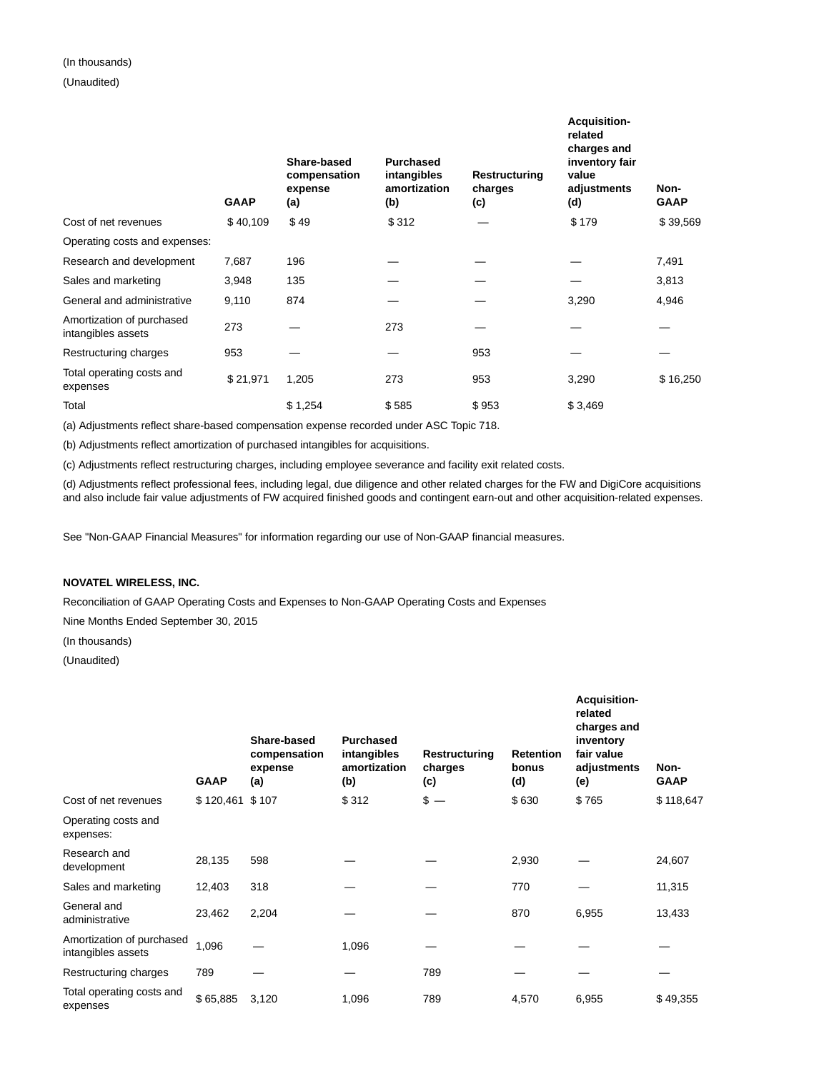# (In thousands)

## (Unaudited)

|                                                 | <b>GAAP</b> | Share-based<br>compensation<br>expense<br>(a) | <b>Purchased</b><br>intangibles<br>amortization<br>(b) | Restructuring<br>charges<br>(c) | <b>Acquisition-</b><br>related<br>charges and<br>inventory fair<br>value<br>adjustments<br>(d) | Non-<br><b>GAAP</b> |
|-------------------------------------------------|-------------|-----------------------------------------------|--------------------------------------------------------|---------------------------------|------------------------------------------------------------------------------------------------|---------------------|
| Cost of net revenues                            | \$40,109    | \$49                                          | \$312                                                  |                                 | \$179                                                                                          | \$39,569            |
| Operating costs and expenses:                   |             |                                               |                                                        |                                 |                                                                                                |                     |
| Research and development                        | 7,687       | 196                                           |                                                        |                                 |                                                                                                | 7,491               |
| Sales and marketing                             | 3,948       | 135                                           |                                                        |                                 |                                                                                                | 3,813               |
| General and administrative                      | 9,110       | 874                                           |                                                        |                                 | 3,290                                                                                          | 4,946               |
| Amortization of purchased<br>intangibles assets | 273         |                                               | 273                                                    |                                 |                                                                                                |                     |
| Restructuring charges                           | 953         |                                               |                                                        | 953                             |                                                                                                |                     |
| Total operating costs and<br>expenses           | \$21,971    | 1,205                                         | 273                                                    | 953                             | 3,290                                                                                          | \$16,250            |
| Total                                           |             | \$1,254                                       | \$585                                                  | \$953                           | \$3,469                                                                                        |                     |

(a) Adjustments reflect share-based compensation expense recorded under ASC Topic 718.

(b) Adjustments reflect amortization of purchased intangibles for acquisitions.

(c) Adjustments reflect restructuring charges, including employee severance and facility exit related costs.

(d) Adjustments reflect professional fees, including legal, due diligence and other related charges for the FW and DigiCore acquisitions and also include fair value adjustments of FW acquired finished goods and contingent earn-out and other acquisition-related expenses.

See "Non-GAAP Financial Measures" for information regarding our use of Non-GAAP financial measures.

## **NOVATEL WIRELESS, INC.**

Reconciliation of GAAP Operating Costs and Expenses to Non-GAAP Operating Costs and Expenses

Nine Months Ended September 30, 2015

(In thousands)

|                                                 | <b>GAAP</b>     | Share-based<br>compensation<br>expense<br>(a) | <b>Purchased</b><br>intangibles<br>amortization<br>(b) | Restructuring<br>charges<br>(c) | <b>Retention</b><br>bonus<br>(d) | Acquisition-<br>related<br>charges and<br>inventory<br>fair value<br>adjustments<br>(e) | Non-<br><b>GAAP</b> |
|-------------------------------------------------|-----------------|-----------------------------------------------|--------------------------------------------------------|---------------------------------|----------------------------------|-----------------------------------------------------------------------------------------|---------------------|
| Cost of net revenues                            | \$120,461 \$107 |                                               | \$312                                                  | $s -$                           | \$630                            | \$765                                                                                   | \$118,647           |
| Operating costs and<br>expenses:                |                 |                                               |                                                        |                                 |                                  |                                                                                         |                     |
| Research and<br>development                     | 28,135          | 598                                           |                                                        |                                 | 2,930                            |                                                                                         | 24,607              |
| Sales and marketing                             | 12,403          | 318                                           |                                                        |                                 | 770                              |                                                                                         | 11,315              |
| General and<br>administrative                   | 23,462          | 2,204                                         |                                                        |                                 | 870                              | 6,955                                                                                   | 13,433              |
| Amortization of purchased<br>intangibles assets | 1,096           |                                               | 1,096                                                  |                                 |                                  |                                                                                         |                     |
| Restructuring charges                           | 789             |                                               |                                                        | 789                             |                                  |                                                                                         |                     |
| Total operating costs and<br>expenses           | \$65,885        | 3,120                                         | 1,096                                                  | 789                             | 4,570                            | 6,955                                                                                   | \$49,355            |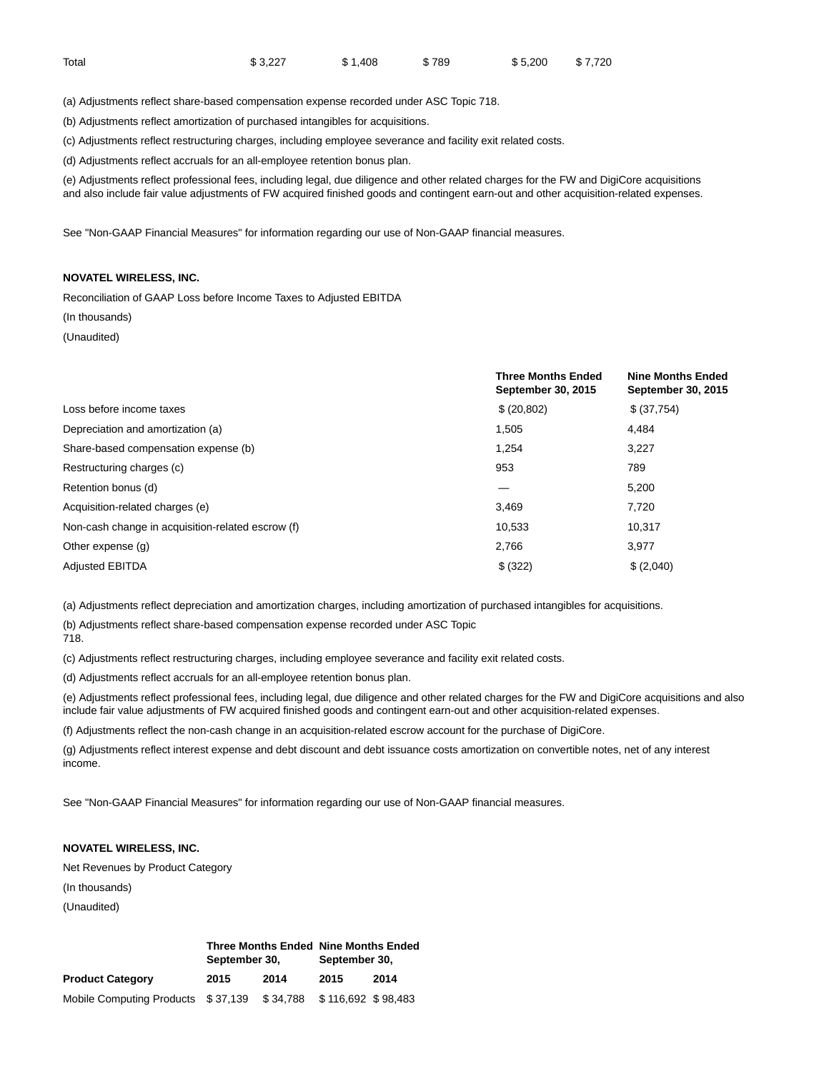| Total | \$3,227 | \$ 1.408 | \$789 | \$5,200 \$7,720 |  |
|-------|---------|----------|-------|-----------------|--|
|       |         |          |       |                 |  |

(a) Adjustments reflect share-based compensation expense recorded under ASC Topic 718.

(b) Adjustments reflect amortization of purchased intangibles for acquisitions.

(c) Adjustments reflect restructuring charges, including employee severance and facility exit related costs.

(d) Adjustments reflect accruals for an all-employee retention bonus plan.

(e) Adjustments reflect professional fees, including legal, due diligence and other related charges for the FW and DigiCore acquisitions and also include fair value adjustments of FW acquired finished goods and contingent earn-out and other acquisition-related expenses.

See "Non-GAAP Financial Measures" for information regarding our use of Non-GAAP financial measures.

## **NOVATEL WIRELESS, INC.**

Reconciliation of GAAP Loss before Income Taxes to Adjusted EBITDA

#### (In thousands)

(Unaudited)

|                                                   | <b>Three Months Ended</b><br>September 30, 2015 | <b>Nine Months Ended</b><br><b>September 30, 2015</b> |
|---------------------------------------------------|-------------------------------------------------|-------------------------------------------------------|
| Loss before income taxes                          | \$ (20,802)                                     | \$ (37,754)                                           |
| Depreciation and amortization (a)                 | 1,505                                           | 4.484                                                 |
| Share-based compensation expense (b)              | 1,254                                           | 3,227                                                 |
| Restructuring charges (c)                         | 953                                             | 789                                                   |
| Retention bonus (d)                               |                                                 | 5.200                                                 |
| Acquisition-related charges (e)                   | 3,469                                           | 7,720                                                 |
| Non-cash change in acquisition-related escrow (f) | 10,533                                          | 10.317                                                |
| Other expense (g)                                 | 2,766                                           | 3,977                                                 |
| <b>Adjusted EBITDA</b>                            | \$ (322)                                        | \$(2,040)                                             |

(a) Adjustments reflect depreciation and amortization charges, including amortization of purchased intangibles for acquisitions.

(b) Adjustments reflect share-based compensation expense recorded under ASC Topic

718.

(c) Adjustments reflect restructuring charges, including employee severance and facility exit related costs.

(d) Adjustments reflect accruals for an all-employee retention bonus plan.

(e) Adjustments reflect professional fees, including legal, due diligence and other related charges for the FW and DigiCore acquisitions and also include fair value adjustments of FW acquired finished goods and contingent earn-out and other acquisition-related expenses.

(f) Adjustments reflect the non-cash change in an acquisition-related escrow account for the purchase of DigiCore.

(g) Adjustments reflect interest expense and debt discount and debt issuance costs amortization on convertible notes, net of any interest income.

See "Non-GAAP Financial Measures" for information regarding our use of Non-GAAP financial measures.

## **NOVATEL WIRELESS, INC.**

Net Revenues by Product Category (In thousands)

|                                    | <b>Three Months Ended Nine Months Ended</b><br>September 30, |           | September 30,      |      |  |  |
|------------------------------------|--------------------------------------------------------------|-----------|--------------------|------|--|--|
| <b>Product Category</b>            | 2015                                                         | 2014      | 2015               | 2014 |  |  |
| Mobile Computing Products \$37,139 |                                                              | \$ 34,788 | \$116.692 \$98.483 |      |  |  |